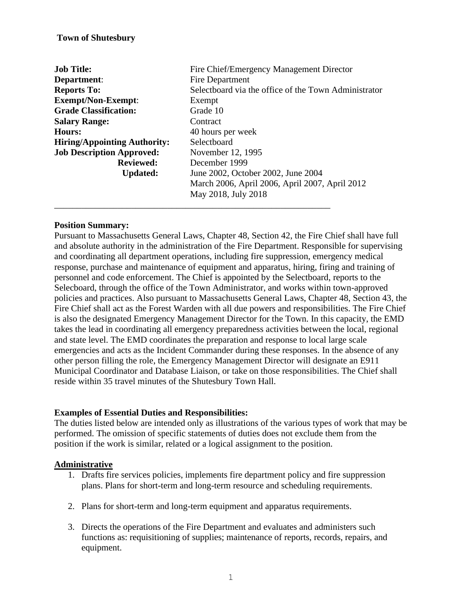### **Town of Shutesbury**

| <b>Job Title:</b>                   | Fire Chief/Emergency Management Director<br>Fire Department |  |
|-------------------------------------|-------------------------------------------------------------|--|
| Department:                         |                                                             |  |
| <b>Reports To:</b>                  | Selectboard via the office of the Town Administrator        |  |
| <b>Exempt/Non-Exempt:</b>           | Exempt                                                      |  |
| <b>Grade Classification:</b>        | Grade 10                                                    |  |
| <b>Salary Range:</b>                | Contract                                                    |  |
| <b>Hours:</b>                       | 40 hours per week                                           |  |
| <b>Hiring/Appointing Authority:</b> | Selectboard                                                 |  |
| <b>Job Description Approved:</b>    | November 12, 1995                                           |  |
| <b>Reviewed:</b>                    | December 1999                                               |  |
| <b>Updated:</b>                     | June 2002, October 2002, June 2004                          |  |
|                                     | March 2006, April 2006, April 2007, April 2012              |  |
|                                     | May 2018, July 2018                                         |  |
|                                     |                                                             |  |

#### **Position Summary:**

Pursuant to Massachusetts General Laws, Chapter 48, Section 42, the Fire Chief shall have full and absolute authority in the administration of the Fire Department. Responsible for supervising and coordinating all department operations, including fire suppression, emergency medical response, purchase and maintenance of equipment and apparatus, hiring, firing and training of personnel and code enforcement. The Chief is appointed by the Selectboard, reports to the Selecboard, through the office of the Town Administrator, and works within town-approved policies and practices. Also pursuant to Massachusetts General Laws, Chapter 48, Section 43, the Fire Chief shall act as the Forest Warden with all due powers and responsibilities. The Fire Chief is also the designated Emergency Management Director for the Town. In this capacity, the EMD takes the lead in coordinating all emergency preparedness activities between the local, regional and state level. The EMD coordinates the preparation and response to local large scale emergencies and acts as the Incident Commander during these responses. In the absence of any other person filling the role, the Emergency Management Director will designate an E911 Municipal Coordinator and Database Liaison, or take on those responsibilities. The Chief shall reside within 35 travel minutes of the Shutesbury Town Hall.

### **Examples of Essential Duties and Responsibilities:**

The duties listed below are intended only as illustrations of the various types of work that may be performed. The omission of specific statements of duties does not exclude them from the position if the work is similar, related or a logical assignment to the position.

#### **Administrative**

- 1. Drafts fire services policies, implements fire department policy and fire suppression plans. Plans for short-term and long-term resource and scheduling requirements.
- 2. Plans for short-term and long-term equipment and apparatus requirements.
- 3. Directs the operations of the Fire Department and evaluates and administers such functions as: requisitioning of supplies; maintenance of reports, records, repairs, and equipment.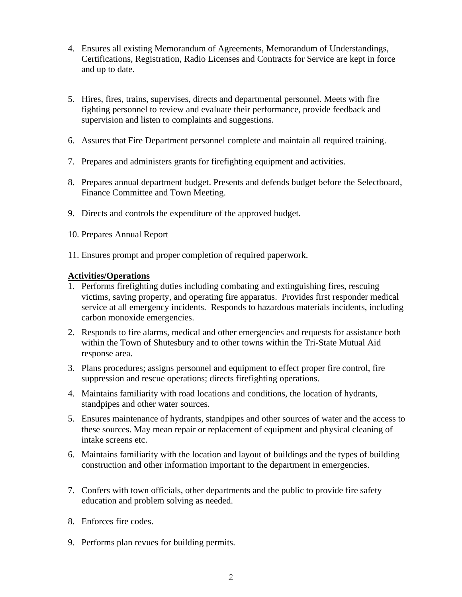- 4. Ensures all existing Memorandum of Agreements, Memorandum of Understandings, Certifications, Registration, Radio Licenses and Contracts for Service are kept in force and up to date.
- 5. Hires, fires, trains, supervises, directs and departmental personnel. Meets with fire fighting personnel to review and evaluate their performance, provide feedback and supervision and listen to complaints and suggestions.
- 6. Assures that Fire Department personnel complete and maintain all required training.
- 7. Prepares and administers grants for firefighting equipment and activities.
- 8. Prepares annual department budget. Presents and defends budget before the Selectboard, Finance Committee and Town Meeting.
- 9. Directs and controls the expenditure of the approved budget.
- 10. Prepares Annual Report
- 11. Ensures prompt and proper completion of required paperwork.

### **Activities/Operations**

- 1. Performs firefighting duties including combating and extinguishing fires, rescuing victims, saving property, and operating fire apparatus. Provides first responder medical service at all emergency incidents. Responds to hazardous materials incidents, including carbon monoxide emergencies.
- 2. Responds to fire alarms, medical and other emergencies and requests for assistance both within the Town of Shutesbury and to other towns within the Tri-State Mutual Aid response area.
- 3. Plans procedures; assigns personnel and equipment to effect proper fire control, fire suppression and rescue operations; directs firefighting operations.
- 4. Maintains familiarity with road locations and conditions, the location of hydrants, standpipes and other water sources.
- 5. Ensures maintenance of hydrants, standpipes and other sources of water and the access to these sources. May mean repair or replacement of equipment and physical cleaning of intake screens etc.
- 6. Maintains familiarity with the location and layout of buildings and the types of building construction and other information important to the department in emergencies.
- 7. Confers with town officials, other departments and the public to provide fire safety education and problem solving as needed.
- 8. Enforces fire codes.
- 9. Performs plan revues for building permits.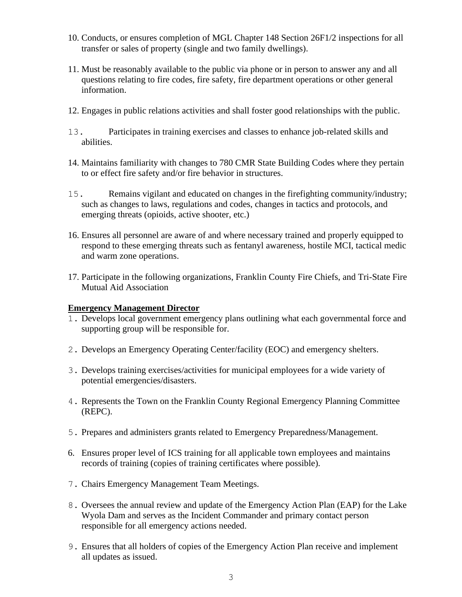- 10. Conducts, or ensures completion of MGL Chapter 148 Section 26F1/2 inspections for all transfer or sales of property (single and two family dwellings).
- 11. Must be reasonably available to the public via phone or in person to answer any and all questions relating to fire codes, fire safety, fire department operations or other general information.
- 12. Engages in public relations activities and shall foster good relationships with the public.
- 13. Participates in training exercises and classes to enhance job-related skills and abilities.
- 14. Maintains familiarity with changes to 780 CMR State Building Codes where they pertain to or effect fire safety and/or fire behavior in structures.
- 15. Remains vigilant and educated on changes in the firefighting community/industry; such as changes to laws, regulations and codes, changes in tactics and protocols, and emerging threats (opioids, active shooter, etc.)
- 16. Ensures all personnel are aware of and where necessary trained and properly equipped to respond to these emerging threats such as fentanyl awareness, hostile MCI, tactical medic and warm zone operations.
- 17. Participate in the following organizations, Franklin County Fire Chiefs, and Tri-State Fire Mutual Aid Association

## **Emergency Management Director**

- 1. Develops local government emergency plans outlining what each governmental force and supporting group will be responsible for.
- 2. Develops an Emergency Operating Center/facility (EOC) and emergency shelters.
- 3. Develops training exercises/activities for municipal employees for a wide variety of potential emergencies/disasters.
- 4. Represents the Town on the Franklin County Regional Emergency Planning Committee (REPC).
- 5. Prepares and administers grants related to Emergency Preparedness/Management.
- 6. Ensures proper level of ICS training for all applicable town employees and maintains records of training (copies of training certificates where possible).
- 7. Chairs Emergency Management Team Meetings.
- 8. Oversees the annual review and update of the Emergency Action Plan (EAP) for the Lake Wyola Dam and serves as the Incident Commander and primary contact person responsible for all emergency actions needed.
- 9. Ensures that all holders of copies of the Emergency Action Plan receive and implement all updates as issued.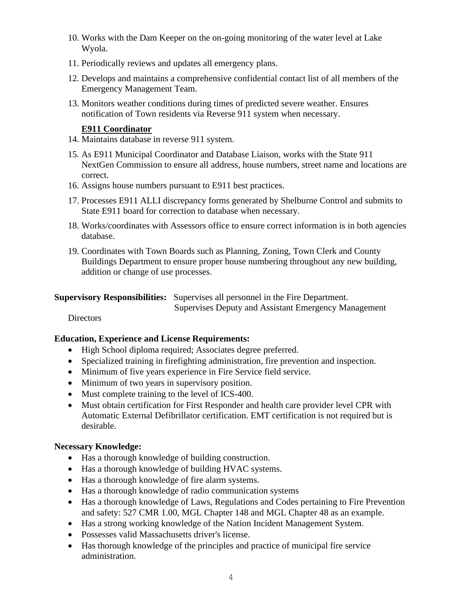- 10. Works with the Dam Keeper on the on-going monitoring of the water level at Lake Wyola.
- 11. Periodically reviews and updates all emergency plans.
- 12. Develops and maintains a comprehensive confidential contact list of all members of the Emergency Management Team.
- 13. Monitors weather conditions during times of predicted severe weather. Ensures notification of Town residents via Reverse 911 system when necessary.

### **E911 Coordinator**

- 14. Maintains database in reverse 911 system.
- 15. As E911 Municipal Coordinator and Database Liaison, works with the State 911 NextGen Commission to ensure all address, house numbers, street name and locations are correct.
- 16. Assigns house numbers pursuant to E911 best practices.
- 17. Processes E911 ALLI discrepancy forms generated by Shelburne Control and submits to State E911 board for correction to database when necessary.
- 18. Works/coordinates with Assessors office to ensure correct information is in both agencies database.
- 19. Coordinates with Town Boards such as Planning, Zoning, Town Clerk and County Buildings Department to ensure proper house numbering throughout any new building, addition or change of use processes.

**Supervisory Responsibilities:** Supervises all personnel in the Fire Department.

Supervises Deputy and Assistant Emergency Management

**Directors** 

### **Education, Experience and License Requirements:**

- High School diploma required; Associates degree preferred.
- Specialized training in firefighting administration, fire prevention and inspection.
- Minimum of five years experience in Fire Service field service.
- Minimum of two years in supervisory position.
- Must complete training to the level of ICS-400.
- Must obtain certification for First Responder and health care provider level CPR with Automatic External Defibrillator certification. EMT certification is not required but is desirable.

### **Necessary Knowledge:**

- Has a thorough knowledge of building construction.
- Has a thorough knowledge of building HVAC systems.
- Has a thorough knowledge of fire alarm systems.
- Has a thorough knowledge of radio communication systems
- Has a thorough knowledge of Laws, Regulations and Codes pertaining to Fire Prevention and safety: 527 CMR 1.00, MGL Chapter 148 and MGL Chapter 48 as an example.
- Has a strong working knowledge of the Nation Incident Management System.
- Possesses valid Massachusetts driver's license.
- Has thorough knowledge of the principles and practice of municipal fire service administration.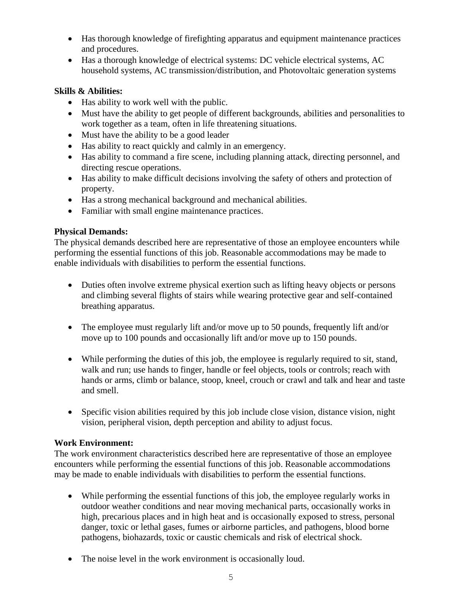- Has thorough knowledge of firefighting apparatus and equipment maintenance practices and procedures.
- Has a thorough knowledge of electrical systems: DC vehicle electrical systems, AC household systems, AC transmission/distribution, and Photovoltaic generation systems

# **Skills & Abilities:**

- Has ability to work well with the public.
- Must have the ability to get people of different backgrounds, abilities and personalities to work together as a team, often in life threatening situations.
- Must have the ability to be a good leader
- Has ability to react quickly and calmly in an emergency.
- Has ability to command a fire scene, including planning attack, directing personnel, and directing rescue operations.
- Has ability to make difficult decisions involving the safety of others and protection of property.
- Has a strong mechanical background and mechanical abilities.
- Familiar with small engine maintenance practices.

# **Physical Demands:**

The physical demands described here are representative of those an employee encounters while performing the essential functions of this job. Reasonable accommodations may be made to enable individuals with disabilities to perform the essential functions.

- Duties often involve extreme physical exertion such as lifting heavy objects or persons and climbing several flights of stairs while wearing protective gear and self-contained breathing apparatus.
- The employee must regularly lift and/or move up to 50 pounds, frequently lift and/or move up to 100 pounds and occasionally lift and/or move up to 150 pounds.
- While performing the duties of this job, the employee is regularly required to sit, stand, walk and run; use hands to finger, handle or feel objects, tools or controls; reach with hands or arms, climb or balance, stoop, kneel, crouch or crawl and talk and hear and taste and smell.
- Specific vision abilities required by this job include close vision, distance vision, night vision, peripheral vision, depth perception and ability to adjust focus.

## **Work Environment:**

The work environment characteristics described here are representative of those an employee encounters while performing the essential functions of this job. Reasonable accommodations may be made to enable individuals with disabilities to perform the essential functions.

- While performing the essential functions of this job, the employee regularly works in outdoor weather conditions and near moving mechanical parts, occasionally works in high, precarious places and in high heat and is occasionally exposed to stress, personal danger, toxic or lethal gases, fumes or airborne particles, and pathogens, blood borne pathogens, biohazards, toxic or caustic chemicals and risk of electrical shock.
- The noise level in the work environment is occasionally loud.